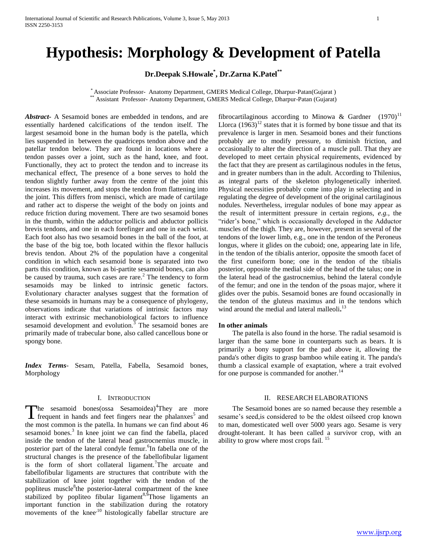# **Hypothesis: Morphology & Development of Patella**

**Dr.Deepak S.Howale\* , Dr.Zarna K.Patel\*\***

\* Associate Professor- Anatomy Department, GMERS Medical College, Dharpur-Patan(Gujarat ) \*\* Assistant Professor- Anatomy Department, GMERS Medical College, Dharpur-Patan (Gujarat)

*Abstract***-** A Sesamoid bones are embedded in tendons, and are essentially hardened calcifications of the tendon itself. The largest sesamoid bone in the human body is the patella, which lies suspended in between the quadriceps tendon above and the patellar tendon below. They are found in locations where a tendon passes over a joint, such as the hand, knee, and foot. Functionally, they act to protect the tendon and to increase its mechanical effect, The presence of a bone serves to hold the tendon slightly further away from the centre of the joint this increases its movement, and stops the tendon from flattening into the joint. This differs from menisci, which are made of cartilage and rather act to disperse the weight of the body on joints and reduce friction during movement. There are two sesamoid bones in the thumb, within the adductor pollicis and abductor pollicis brevis tendons, and one in each forefinger and one in each wrist. Each foot also has two sesamoid bones in the ball of the foot, at the base of the big toe, both located within the flexor hallucis brevis tendon. About 2% of the population have a congenital condition in which each sesamoid bone is separated into two parts this condition, known as bi-partite sesamoid bones, can also be caused by trauma, such cases are rare. $<sup>2</sup>$  The tendency to form</sup> sesamoids may be linked to intrinsic genetic factors. Evolutionary character analyses suggest that the formation of these sesamoids in humans may be a consequence of phylogeny, observations indicate that variations of intrinsic factors may interact with extrinsic mechanobiological factors to influence sesamoid development and evolution.<sup>3</sup> The sesamoid bones are primarily made of trabecular bone, also called cancellous bone or spongy bone.

*Index Terms*- Sesam, Patella, Fabella, Sesamoid bones, Morphology

### I. INTRODUCTION

he sesamoid bones(ossa Sesamoidea)<sup>4</sup>They are more The sesamoid bones(ossa Sesamoidea)<sup>4</sup>They are more frequent in hands and feet fingers near the phalanxes<sup>5</sup> and the most common is the patella. In humans we can find about 46 sesamoid bones.<sup>3</sup> In knee joint we can find the fabella, placed inside the tendon of the lateral head gastrocnemius muscle, in posterior part of the lateral condyle femur.<sup>6</sup>In fabella one of the structural changes is the presence of the fabellofibular ligament is the form of short collateral ligament.<sup>7</sup>The arcuate and fabellofibular ligaments are structures that contribute with the stabilization of knee joint together with the tendon of the popliteus muscle<sup>8</sup>the posterior-lateral compartment of the knee stabilized by popliteo fibular ligament<sup>8,9</sup>Those ligaments an important function in the stabilization during the rotatory movements of the knee<sup>,10</sup> histologically fabellar structure are

fibrocartilaginous according to Minowa & Gardner  $(1970)^{11}$ Llorca  $(1963)^{12}$  states that it is formed by bone tissue and that its prevalence is larger in men. Sesamoid bones and their functions probably are to modify pressure, to diminish friction, and occasionally to alter the direction of a muscle pull. That they are developed to meet certain physical requirements, evidenced by the fact that they are present as cartilaginous nodules in the fetus, and in greater numbers than in the adult. According to Thilenius, as integral parts of the skeleton phylogenetically inherited. Physical necessities probably come into play in selecting and in regulating the degree of development of the original cartilaginous nodules. Nevertheless, irregular nodules of bone may appear as the result of intermittent pressure in certain regions, *e.g.,* the "rider's bone," which is occasionally developed in the Adductor muscles of the thigh. They are, however, present in several of the tendons of the lower limb, e.g., one in the tendon of the Peroneus longus, where it glides on the cuboid; one, appearing late in life, in the tendon of the tibialis anterior, opposite the smooth facet of the first cuneiform bone; one in the tendon of the tibialis posterior, opposite the medial side of the head of the talus; one in the lateral head of the gastrocnemius, behind the lateral condyle of the femur; and one in the tendon of the psoas major, where it glides over the pubis. Sesamoid bones are found occasionally in the tendon of the gluteus maximus and in the tendons which wind around the medial and lateral malleoli**.** 13

#### **In other animals**

 The patella is also found in the horse. The radial sesamoid is larger than the same bone in counterparts such as bears. It is primarily a bony support for the pad above it, allowing the panda's other digits to grasp bamboo while eating it. The panda's thumb a classical example of exaptation, where a trait evolved for one purpose is commanded for another.<sup>14</sup>

#### II. RESEARCH ELABORATIONS

 The Sesamoid bones are so named because they resemble a sesame's seed,is considered to be the oldest oilseed crop known to man, domesticated well over 5000 years ago. Sesame is very drought-tolerant. It has been called a survivor crop, with an ability to grow where most crops fail.<sup>15</sup>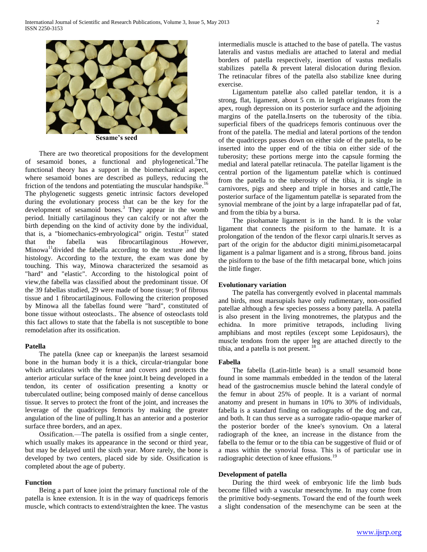

**Sesame's seed**

 There are two theoretical propositions for the development of sesamoid bones, a functional and phylogenetical.<sup>3</sup>The functional theory has a support in the biomechanical aspect, where sesamoid bones are described as pulleys, reducing the friction of the tendons and potentiating the muscular handspike.<sup>16</sup> The phylogenetic suggests genetic intrinsic factors developed during the evolutionary process that can be the key for the development of sesamoid bones.<sup>3</sup> They appear in the womb period. Initially cartilaginous they can calcify or not after the birth depending on the kind of activity done by the individual, that is, a "biomechanics-embryological" origin. Testut<sup>17</sup> stated that the fabella was fibrocartilaginous .However, that the fabella was fibrocartilaginous .However,  $Minowa<sup>11</sup> divided the fabella according to the texture and the$ histology. According to the texture, the exam was done by touching. This way, Minowa characterized the sesamoid as "hard" and "elastic". According to the histological point of view,the fabella was classified about the predominant tissue. Of the 39 fabellas studied, 29 were made of bone tissue; 9 of fibrous tissue and 1 fibrocartilaginous. Following the criterion proposed by Minowa all the fabellas found were "hard", constituted of bone tissue without osteoclasts.. The absence of osteoclasts told this fact allows to state that the fabella is not susceptible to bone remodelation after its ossification.

#### **Patella**

 The patella (knee cap or kneepan)is the largest sesamoid bone in the human body it is a thick, circular-triangular bone which articulates with the femur and covers and protects the anterior articular surface of the knee joint.It being developed in a tendon, its center of ossification presenting a knotty or tuberculated outline; being composed mainly of dense cancellous tissue. It serves to protect the front of the joint, and increases the leverage of the quadriceps femoris by making the greater angulation of the line of pulling.It has an anterior and a posterior surface three borders, and an apex.

 Ossification.—The patella is ossified from a single center, which usually makes its appearance in the second or third year, but may be delayed until the sixth year. More rarely, the bone is developed by two centers, placed side by side. Ossification is completed about the age of puberty.

#### **Function**

 Being a part of knee joint the primary functional role of the patella is knee extension. It is in the way of quadriceps femoris muscle, which contracts to extend/straighten the knee. The vastus

intermedialis muscle is attached to the base of patella. The vastus lateralis and vastus medialis are attached to lateral and medial borders of patella respectively, insertion of vastus medialis stabilizes patella & prevent lateral dislocation during flexion. The retinacular fibres of the patella also stabilize knee during exercise.

 Ligamentum patellæ also called patellar tendon, it is a strong, flat, ligament, about 5 cm. in length originates from the apex, rough depression on its posterior surface and the adjoining margins of the patella.Inserts on the tuberosity of the tibia. superficial fibers of the quadriceps femoris continuous over the front of the patella. The medial and lateral portions of the tendon of the quadriceps passes down on either side of the patella, to be inserted into the upper end of the tibia on either side of the tuberosity; these portions merge into the capsule forming the medial and lateral patellar retinacula. The patellar ligament is the central portion of the ligamentum patellæ which is continued from the patella to the tuberosity of the tibia, it is single in carnivores, pigs and sheep and triple in horses and cattle,The posterior surface of the ligamentum patellæ is separated from the synovial membrane of the joint by a large infrapatellar pad of fat, and from the tibia by a bursa.

 The pisohamate ligament is in the hand. It is the volar ligament that connects the pisiform to the hamate. It is a prolongation of the tendon of the flexor carpi ulnaris.It serves as part of the origin for the abductor digiti minimi,pisometacarpal ligament is a palmar ligament and is a strong, fibrous band. joins the pisiform to the base of the fifth metacarpal bone, which joins the little finger.

#### **Evolutionary variation**

 The patella has convergently evolved in placental mammals and birds, most marsupials have only rudimentary, non-ossified patellae although a few species possess a bony patella. A patella is also present in the living monotremes, the platypus and the echidna. In more primitive tetrapods, including living amphibians and most reptiles (except some Lepidosaurs), the muscle tendons from the upper leg are attached directly to the tibia, and a patella is not present. <sup>18</sup>

#### **Fabella**

 The fabella (Latin-little bean) is a small sesamoid bone found in some mammals embedded in the tendon of the lateral head of the gastrocnemius muscle behind the lateral condyle of the femur in about 25% of people. It is a variant of normal anatomy and present in humans in 10% to 30% of individuals, fabella is a standard finding on radiographs of the dog and cat, and both. It can thus serve as a surrogate radio-opaque marker of the posterior border of the knee's synovium. On a lateral radiograph of the knee, an increase in the distance from the fabella to the femur or to the tibia can be suggestive of fluid or of a mass within the synovial fossa. This is of particular use in radiographic detection of knee effusions.<sup>19</sup>

#### **Development of patella**

 During the third week of embryonic life the limb buds become filled with a vascular mesenchyme. In may come from the primitive body-segments. Toward the end of the fourth week a slight condensation of the mesenchyme can be seen at the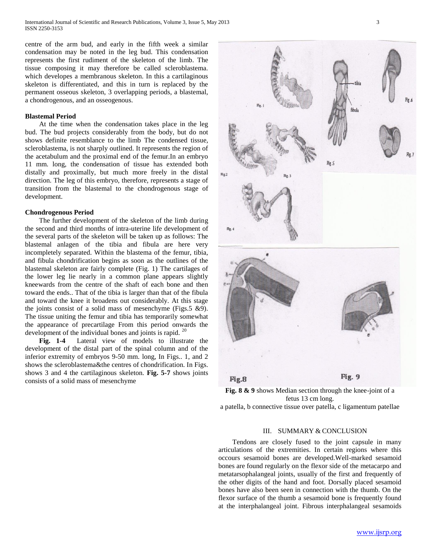centre of the arm bud, and early in the fifth week a similar condensation may be noted in the leg bud. This condensation represents the first rudiment of the skeleton of the limb. The tissue composing it may therefore be called scleroblastema. which developes a membranous skeleton. In this a cartilaginous skeleton is differentiated, and this in turn is replaced by the permanent osseous skeleton, 3 overlapping periods, a blastemal, a chondrogenous, and an osseogenous.

#### **Blastemal Period**

 At the time when the condensation takes place in the leg bud. The bud projects considerably from the body, but do not shows definite resemblance to the limb The condensed tissue, scleroblastema, is not sharply outlined. It represents the region of the acetabulum and the proximal end of the femur.In an embryo 11 mm. long, the condensation of tissue has extended both distally and proximally, but much more freely in the distal direction. The leg of this embryo, therefore, represents a stage of transition from the blastemal to the chondrogenous stage of development.

#### **Chondrogenous Period**

 The further development of the skeleton of the limb during the second and third months of intra-uterine life development of the several parts of the skeleton will be taken up as follows: The blastemal anlagen of the tibia and fibula are here very incompletely separated. Within the blastema of the femur, tibia, and fibula chondrification begins as soon as the outlines of the blastemal skeleton are fairly complete (Fig. 1) The cartilages of the lower leg lie nearly in a common plane appears slightly kneewards from the centre of the shaft of each bone and then toward the ends.. That of the tibia is larger than that of the fibula and toward the knee it broadens out considerably. At this stage the joints consist of a solid mass of mesenchyme (Figs.  $5 \& 9$ ). The tissue uniting the femur and tibia has temporarily somewhat the appearance of precartilage From this period onwards the development of the individual bones and joints is rapid. <sup>20</sup>

 **Fig. 1-4** Lateral view of models to illustrate the development of the distal part of the spinal column and of the inferior extremity of embryos 9-50 mm. long, In Figs.. 1, and 2 shows the scleroblastema&the centres of chondrification. In Figs. shows 3 and 4 the cartilaginous skeleton. **Fig. 5-7** shows joints consists of a solid mass of mesenchyme



**Fig. 8 & 9** shows Median section through the knee-joint of a fetus 13 cm long.

## a patella, b connective tissue over patella, c ligamentum patellae

#### III. SUMMARY & CONCLUSION

 Tendons are closely fused to the joint capsule in many articulations of the extremities. In certain regions where this occours sesamoid bones are developed.Well-marked sesamoid bones are found regularly on the flexor side of the metacarpo and metatarsophalangeal joints, usually of the first and frequently of the other digits of the hand and foot. Dorsally placed sesamoid bones have also been seen in connection with the thumb. On the flexor surface of the thumb a sesamoid bone is frequently found at the interphalangeal joint. Fibrous interphalangeal sesamoids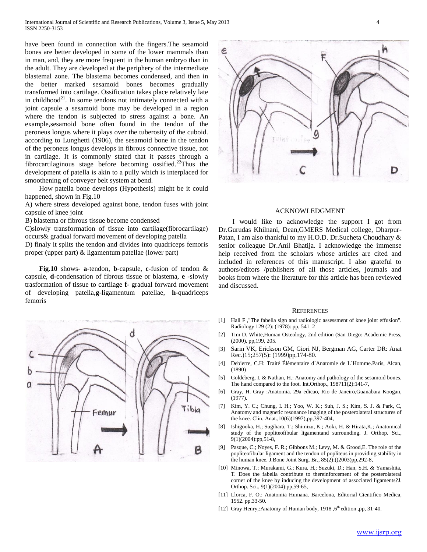have been found in connection with the fingers.The sesamoid bones are better developed in some of the lower mammals than in man, and, they are more frequent in the human embryo than in the adult. They are developed at the periphery of the intermediate blastemal zone. The blastema becomes condensed, and then in the better marked sesamoid bones becomes gradually transformed into cartilage. Ossification takes place relatively late in childhood<sup>21</sup>. In some tendons not intimately connected with a joint capsule a sesamoid bone may be developed in a region where the tendon is subjected to stress against a bone. An example,sesamoid bone often found in the tendon of the peroneus longus where it plays over the tuberosity of the cuboid. according to Lunghetti (1906), the sesamoid bone in the tendon of the peroneus longus develops in fibrous connective tissue, not in cartilage. It is commonly stated that it passes through a fibrocartilaginous stage before becoming ossified.<sup>22</sup>Thus the development of patella is akin to a pully which is interplaced for smoothening of conveyer belt system at bend.

 How patella bone develops (Hypothesis) might be it could happened, shown in Fig.10

A) where stress developed against bone, tendon fuses with joint capsule of knee joint

B) blastema or fibrous tissue become condensed

C)slowly transformation of tissue into cartilage(fibrocartilage) occurs& gradual forward movement of developing patella

D) finaly it splits the tendon and divides into quadriceps femoris proper (upper part) & ligamentum patellae (lower part)

 **Fig.10** shows- **a**-tendon, **b**-capsule, **c**-fusion of tendon & capsule, **d**-condensation of fibrous tissue or blastema, **e** -slowly trasformation of tissue to cartilage **f**- gradual forward movement of developing patella,**g**-ligamentum patellae, **h**-quadriceps femoris





#### ACKNOWLEDGMENT

 I would like to acknowledge the support I got from Dr.Gurudas Khilnani, Dean,GMERS Medical college, Dharpur-Patan, I am also thankful to my H.O.D. Dr.Sucheta Choudhary & senior colleague Dr.Anil Bhatija. I acknowledge the immense help received from the scholars whose articles are cited and included in references of this manuscript. I also grateful to authors/editors /publishers of all those articles, journals and books from where the literature for this article has been reviewed and discussed.

#### **REFERENCES**

- [1] Hall F ,"The fabella sign and radiologic assessment of knee joint effusion". Radiology 129 (2): (1978): pp, 541–2
- [2] Tim D. White,Human Osteology, 2nd edition (San Diego: Academic Press, (2000), pp,199, 205.
- [3] [Sarin VK,](http://www.ncbi.nlm.nih.gov/pubmed?term=Sarin%20VK%5BAuthor%5D&cauthor=true&cauthor_uid=10597342) [Erickson GM,](http://www.ncbi.nlm.nih.gov/pubmed?term=Erickson%20GM%5BAuthor%5D&cauthor=true&cauthor_uid=10597342) [Giori NJ,](http://www.ncbi.nlm.nih.gov/pubmed?term=Giori%20NJ%5BAuthor%5D&cauthor=true&cauthor_uid=10597342) [Bergman AG,](http://www.ncbi.nlm.nih.gov/pubmed?term=Bergman%20AG%5BAuthor%5D&cauthor=true&cauthor_uid=10597342) [Carter DR:](http://www.ncbi.nlm.nih.gov/pubmed?term=Carter%20DR%5BAuthor%5D&cauthor=true&cauthor_uid=10597342) [Anat](http://www.ncbi.nlm.nih.gov/pubmed/10597342)  [Rec.\)](http://www.ncbi.nlm.nih.gov/pubmed/10597342)15;257(5): (1999)pp,174-80.
- [4] Debierre, C.H: Traité Élèmentaire d`Anatomie de L`Homme.Paris, Alcan, (1890)
- [5] Goldeberg, I. & Nathan, H.: Anatomy and pathology of the sesamoid bones. The hand compared to the foot. Int.Orthop., 198711(2):141-7,
- [6] Gray, H. Gray :Anatomia. 29a edicao, Rio de Janeiro,Guanabara Koogan, (1977).
- [7] Kim, Y. C.; Chung, I. H.; Yoo, W. K.; Suh, J. S.; Kim, S. J. & Park, C, Anatomy and magnetic resonance imaging of the posterolateral structures of the knee. Clin. Anat.,10(6)(1997),pp,397-404,
- [8] Ishigooka, H.; Sugihara, T.; Shimizu, K.; Aoki, H. & Hirata,K.; Anatomical study of the popliteofibular ligamentand surrounding. J. Orthop. Sci., 9(1)(2004):pp,51-8,
- [9] Pasque, C.; Noyes, F. R.; Gibbons M.; Levy, M. & Grood,E. The role of the popliteofibular ligament and the tendon of popliteus in providing stability in the human knee. J.Bone Joint Surg. Br., 85(2):((2003)pp,292-8,
- [10] Minowa, T.; Murakami, G.; Kura, H.; Suzuki, D.; Han, S.H. & Yamashita, T. Does the fabella contribute to thereinforcement of the posterolateral corner of the knee by inducing the development of associated ligaments?J. Orthop. Sci., 9(1)(2004):pp,59-65,
- [11] Llorca, F. O.: Anatomia Humana. Barcelona, Editorial Cientifico Medica, 1952. pp.33-50.
- [12] Gray Henry,:Anatomy of Human body, 1918, 6<sup>th</sup> edition ,pp, 31-40.